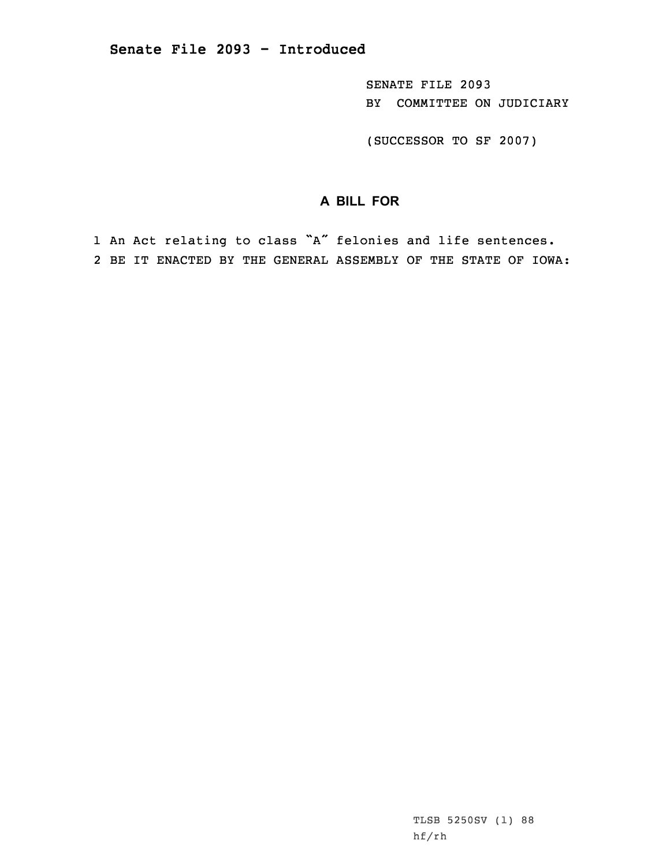SENATE FILE 2093 BY COMMITTEE ON JUDICIARY

(SUCCESSOR TO SF 2007)

## **A BILL FOR**

1 An Act relating to class "A" felonies and life sentences. 2 BE IT ENACTED BY THE GENERAL ASSEMBLY OF THE STATE OF IOWA:

> TLSB 5250SV (1) 88 hf/rh